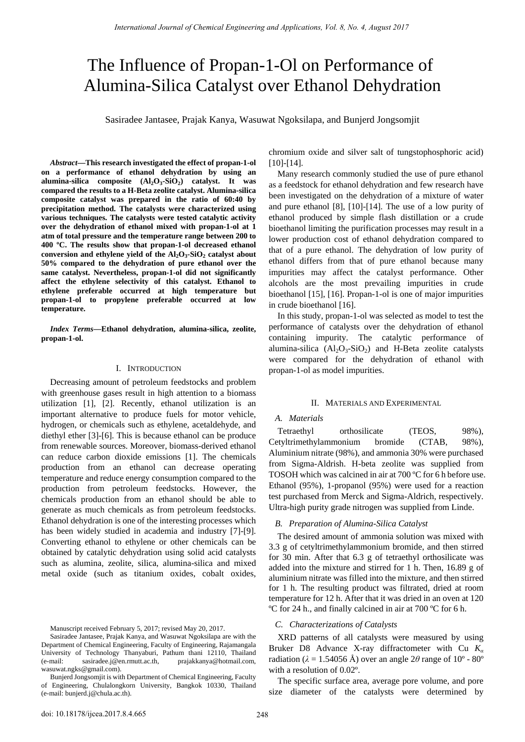# The Influence of Propan-1-Ol on Performance of Alumina-Silica Catalyst over Ethanol Dehydration

Sasiradee Jantasee, Prajak Kanya, Wasuwat Ngoksilapa, and Bunjerd Jongsomjit

*Abstract***—This research investigated the effect of propan-1-ol on a performance of ethanol dehydration by using an alumina-silica composite (Al2O3-SiO2) catalyst. It was compared the results to a H-Beta zeolite catalyst. Alumina-silica composite catalyst was prepared in the ratio of 60:40 by precipitation method. The catalysts were characterized using various techniques. The catalysts were tested catalytic activity over the dehydration of ethanol mixed with propan-1-ol at 1 atm of total pressure and the temperature range between 200 to 400 ºC. The results show that propan-1-ol decreased ethanol**  conversion and ethylene yield of the  $Al_2O_3-SiO_2$  catalyst about **50% compared to the dehydration of pure ethanol over the same catalyst. Nevertheless, propan-1-ol did not significantly affect the ethylene selectivity of this catalyst. Ethanol to ethylene preferable occurred at high temperature but propan-1-ol to propylene preferable occurred at low temperature.** 

*Index Terms***—Ethanol dehydration, alumina-silica, zeolite, propan-1-ol.** 

#### I. INTRODUCTION

Decreasing amount of petroleum feedstocks and problem with greenhouse gases result in high attention to a biomass utilization [1], [2]. Recently, ethanol utilization is an important alternative to produce fuels for motor vehicle, hydrogen, or chemicals such as ethylene, acetaldehyde, and diethyl ether [3]-[6]. This is because ethanol can be produce from renewable sources. Moreover, biomass-derived ethanol can reduce carbon dioxide emissions [1]. The chemicals production from an ethanol can decrease operating temperature and reduce energy consumption compared to the production from petroleum feedstocks. However, the chemicals production from an ethanol should be able to generate as much chemicals as from petroleum feedstocks. Ethanol dehydration is one of the interesting processes which has been widely studied in academia and industry [7]-[9]. Converting ethanol to ethylene or other chemicals can be obtained by catalytic dehydration using solid acid catalysts such as alumina, zeolite, silica, alumina-silica and mixed metal oxide (such as titanium oxides, cobalt oxides,

Manuscript received February 5, 2017; revised May 20, 2017.

Sasiradee Jantasee, Prajak Kanya, and Wasuwat Ngoksilapa are with the Department of Chemical Engineering, Faculty of Engineering, Rajamangala University of Technology Thanyaburi, Pathum thani 12110, Thailand (e-mail: sasiradee.j@en.rmutt.ac.th, prajakkanya@hotmail.com, wasuwat.ngks@gmail.com).

Bunjerd Jongsomjit is with Department of Chemical Engineering, Faculty of Engineering, Chulalongkorn University, Bangkok 10330, Thailand (e-mail: bunjerd.j@chula.ac.th).

chromium oxide and silver salt of tungstophosphoric acid) [10]-[14].

Many research commonly studied the use of pure ethanol as a feedstock for ethanol dehydration and few research have been investigated on the dehydration of a mixture of water and pure ethanol [8], [10]-[14]. The use of a low purity of ethanol produced by simple flash distillation or a crude bioethanol limiting the purification processes may result in a lower production cost of ethanol dehydration compared to that of a pure ethanol. The dehydration of low purity of ethanol differs from that of pure ethanol because many impurities may affect the catalyst performance. Other alcohols are the most prevailing impurities in crude bioethanol [15], [16]. Propan-1-ol is one of major impurities in crude bioethanol [16].

In this study, propan-1-ol was selected as model to test the performance of catalysts over the dehydration of ethanol containing impurity. The catalytic performance of alumina-silica  $(Al_2O_3-SiO_2)$  and H-Beta zeolite catalysts were compared for the dehydration of ethanol with propan-1-ol as model impurities.

#### II. MATERIALS AND EXPERIMENTAL

## *A. Materials*

Tetraethyl orthosilicate (TEOS, 98%), Cetyltrimethylammonium bromide (CTAB, 98%), Aluminium nitrate (98%), and ammonia 30% were purchased from Sigma-Aldrish. H-beta zeolite was supplied from TOSOH which was calcined in air at 700 ºC for 6 h before use. Ethanol (95%), 1-propanol (95%) were used for a reaction test purchased from Merck and Sigma-Aldrich, respectively. Ultra-high purity grade nitrogen was supplied from Linde.

### *B. Preparation of Alumina-Silica Catalyst*

The desired amount of ammonia solution was mixed with 3.3 g of cetyltrimethylammonium bromide, and then stirred for 30 min. After that 6.3 g of tetraethyl orthosilicate was added into the mixture and stirred for 1 h. Then, 16.89 g of aluminium nitrate was filled into the mixture, and then stirred for 1 h. The resulting product was filtrated, dried at room temperature for 12 h. After that it was dried in an oven at 120 ºC for 24 h., and finally calcined in air at 700 ºC for 6 h.

#### *C. Characterizations of Catalysts*

XRD patterns of all catalysts were measured by using Bruker D8 Advance X-ray diffractometer with Cu *K<sup>α</sup>* radiation ( $\lambda = 1.54056$  Å) over an angle  $2\theta$  range of  $10^{\circ}$  -  $80^{\circ}$ with a resolution of 0.02º.

The specific surface area, average pore volume, and pore size diameter of the catalysts were determined by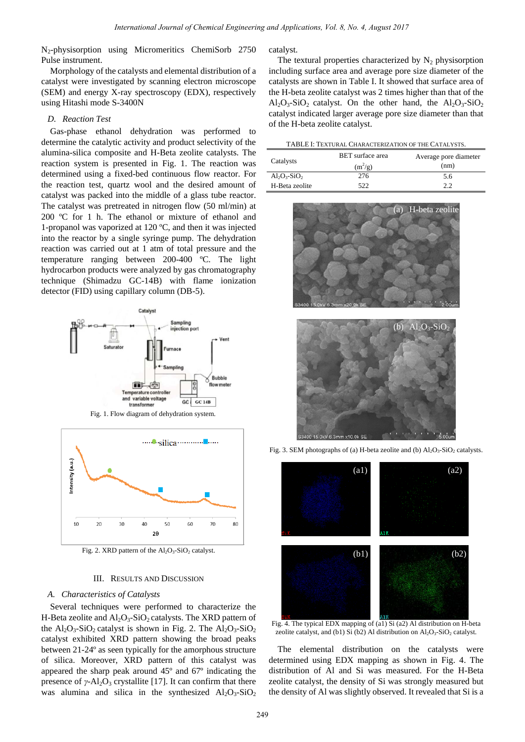N2-physisorption using Micromeritics ChemiSorb 2750 Pulse instrument.

Morphology of the catalysts and elemental distribution of a catalyst were investigated by scanning electron microscope (SEM) and energy X-ray spectroscopy (EDX), respectively using Hitashi mode S-3400N

### *D. Reaction Test*

Gas-phase ethanol dehydration was performed to determine the catalytic activity and product selectivity of the alumina-silica composite and H-Beta zeolite catalysts. The reaction system is presented in Fig. 1. The reaction was determined using a fixed-bed continuous flow reactor. For the reaction test, quartz wool and the desired amount of catalyst was packed into the middle of a glass tube reactor. The catalyst was pretreated in nitrogen flow (50 ml/min) at 200 ºC for 1 h. The ethanol or mixture of ethanol and 1-propanol was vaporized at 120 ºC, and then it was injected into the reactor by a single syringe pump. The dehydration reaction was carried out at 1 atm of total pressure and the temperature ranging between 200-400 ºC. The light hydrocarbon products were analyzed by gas chromatography technique (Shimadzu GC-14B) with flame ionization detector (FID) using capillary column (DB-5). *International Journal of Chemical Engineering and Applications, Vol. 8, No. 4, August 2017*<br>
249 Bitchcontines Chemical Engineering and Applications, Vol. 8, No. 4, August 2017<br>
Cardy by extanting discussions, Internatio



Fig. 1. Flow diagram of dehydration system.



Fig. 2. XRD pattern of the  $Al_2O_3-SiO_2$  catalyst.

## III. RESULTS AND DISCUSSION

## *A. Characteristics of Catalysts*

Several techniques were performed to characterize the H-Beta zeolite and  $Al_2O_3-SiO_2$  catalysts. The XRD pattern of the  $Al_2O_3-SiO_2$  catalyst is shown in Fig. 2. The  $Al_2O_3-SiO_2$ catalyst exhibited XRD pattern showing the broad peaks between 21-24º as seen typically for the amorphous structure of silica. Moreover, XRD pattern of this catalyst was appeared the sharp peak around 45º and 67º indicating the presence of  $\gamma$ -Al<sub>2</sub>O<sub>3</sub> crystallite [17]. It can confirm that there was alumina and silica in the synthesized  $Al_2O_3-SiO_2$  catalyst.

The textural properties characterized by  $N_2$  physisorption including surface area and average pore size diameter of the catalysts are shown in Table I. It showed that surface area of the H-beta zeolite catalyst was 2 times higher than that of the  $Al_2O_3-SiO_2$  catalyst. On the other hand, the  $Al_2O_3-SiO_2$ catalyst indicated larger average pore size diameter than that of the H-beta zeolite catalyst.

| Catalysts                         | <b>BET</b> surface area<br>$(m^2/g)$ | Average pore diameter<br>(nm) |
|-----------------------------------|--------------------------------------|-------------------------------|
| $Al_2O_3-SiO_2$<br>H-Beta zeolite | 276<br>522                           | 5.6<br>22                     |
|                                   |                                      |                               |







Fig. 3. SEM photographs of (a) H-beta zeolite and (b)  $Al_2O_3-SiO_2$  catalysts.

Fig. 4. The typical EDX mapping of (a1) Si (a2) Al distribution on H-beta zeolite catalyst, and (b1) Si (b2) Al distribution on  $Al_2O_3-SiO_2$  catalyst.

The elemental distribution on the catalysts were determined using EDX mapping as shown in Fig. 4. The distribution of Al and Si was measured. For the H-Beta zeolite catalyst, the density of Si was strongly measured but the density of Al was slightly observed. It revealed that Si is a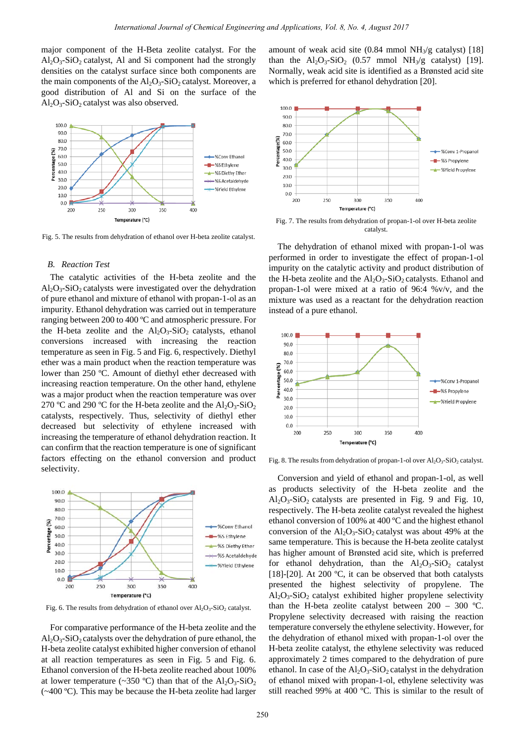major component of the H-Beta zeolite catalyst. For the  $Al_2O_3-SiO_2$  catalyst, Al and Si component had the strongly densities on the catalyst surface since both components are the main components of the  $Al_2O_3-SiO_2$  catalyst. Moreover, a good distribution of Al and Si on the surface of the  $Al_2O_3-SiO_2$  catalyst was also observed.



Fig. 5. The results from dehydration of ethanol over H-beta zeolite catalyst.

## *B. Reaction Test*

The catalytic activities of the H-beta zeolite and the  $Al_2O_3-SiO_2$  catalysts were investigated over the dehydration of pure ethanol and mixture of ethanol with propan-1-ol as an impurity. Ethanol dehydration was carried out in temperature ranging between 200 to 400 ºC and atmospheric pressure. For the H-beta zeolite and the  $Al_2O_3-SiO_2$  catalysts, ethanol conversions increased with increasing the reaction temperature as seen in Fig. 5 and Fig. 6, respectively. Diethyl ether was a main product when the reaction temperature was lower than 250 ºC. Amount of diethyl ether decreased with increasing reaction temperature. On the other hand, ethylene was a major product when the reaction temperature was over 270 °C and 290 °C for the H-beta zeolite and the  $Al_2O_3-SiO_2$ catalysts, respectively. Thus, selectivity of diethyl ether decreased but selectivity of ethylene increased with increasing the temperature of ethanol dehydration reaction. It can confirm that the reaction temperature is one of significant factors effecting on the ethanol conversion and product selectivity.



Fig. 6. The results from dehydration of ethanol over  $Al_2O_3-SiO_2$  catalyst.

For comparative performance of the H-beta zeolite and the  $\text{Al}_2\text{O}_3\text{-SiO}_2$  catalysts over the dehydration of pure ethanol, the H-beta zeolite catalyst exhibited higher conversion of ethanol at all reaction temperatures as seen in Fig. 5 and Fig. 6. Ethanol conversion of the H-beta zeolite reached about 100% at lower temperature (~350 °C) than that of the  $Al_2O_3-SiO_2$ (~400 ºC). This may be because the H-beta zeolite had larger

amount of weak acid site  $(0.84 \text{ mmol NH}_3/\text{g} \text{ catalyst})$  [18] than the  $Al_2O_3-SiO_2$  (0.57 mmol NH<sub>3</sub>/g catalyst) [19]. Normally, weak acid site is identified as a Brønsted acid site which is preferred for ethanol dehydration [20].



Fig. 7. The results from dehydration of propan-1-ol over H-beta zeolite catalyst.

The dehydration of ethanol mixed with propan-1-ol was performed in order to investigate the effect of propan-1-ol impurity on the catalytic activity and product distribution of the H-beta zeolite and the  $Al_2O_3-SiO_2$  catalysts. Ethanol and propan-1-ol were mixed at a ratio of 96:4 %v/v, and the mixture was used as a reactant for the dehydration reaction instead of a pure ethanol.



Fig. 8. The results from dehydration of propan-1-ol over  $Al_2O_3-SiO_2$  catalyst.

Conversion and yield of ethanol and propan-1-ol, as well as products selectivity of the H-beta zeolite and the  $Al_2O_3-SiO_2$  catalysts are presented in Fig. 9 and Fig. 10, respectively. The H-beta zeolite catalyst revealed the highest ethanol conversion of 100% at 400 ºC and the highest ethanol conversion of the  $Al_2O_3-SiO_2$  catalyst was about 49% at the same temperature. This is because the H-beta zeolite catalyst has higher amount of Brønsted acid site, which is preferred for ethanol dehydration, than the  $Al_2O_3-SiO_2$  catalyst [18]-[20]. At 200  $^{\circ}$ C, it can be observed that both catalysts presented the highest selectivity of propylene. The  $Al_2O_3-SiO_2$  catalyst exhibited higher propylene selectivity than the H-beta zeolite catalyst between  $200 - 300$  °C. Propylene selectivity decreased with raising the reaction temperature conversely the ethylene selectivity. However, for the dehydration of ethanol mixed with propan-1-ol over the H-beta zeolite catalyst, the ethylene selectivity was reduced approximately 2 times compared to the dehydration of pure ethanol. In case of the  $Al_2O_3-SiO_2$  catalyst in the dehydration of ethanol mixed with propan-1-ol, ethylene selectivity was still reached 99% at 400 ºC. This is similar to the result of International Journal of Chemical Hydroxicopy, Delay and Applications, Vol. 8, No. 4, August 2017<br>
The H-B-dimensional Journal of weak side (1948-1940) than the NAO-SIO-1953 Administrations, International Applications, In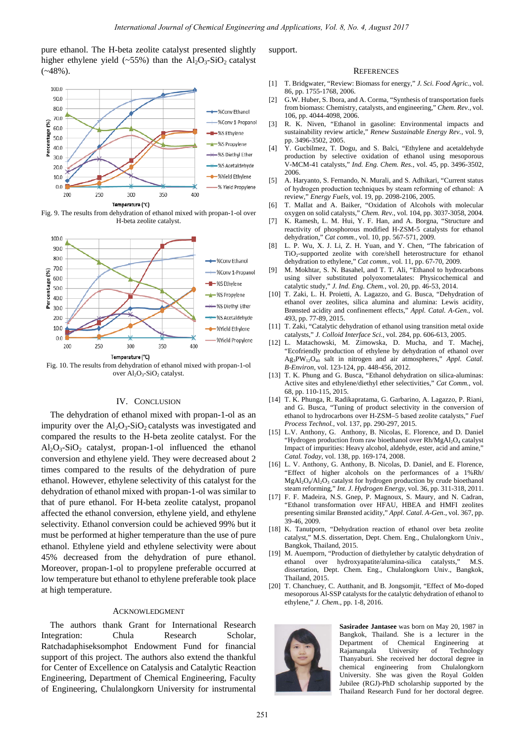pure ethanol. The H-beta zeolite catalyst presented slightly higher ethylene yield (~55%) than the  $Al_2O_3-SiO_2$  catalyst  $(*48\%)$ .



Fig. 9. The results from dehydration of ethanol mixed with propan-1-ol over H-beta zeolite catalyst.



Fig. 10. The results from dehydration of ethanol mixed with propan-1-ol over  $\overline{Al_2O_3}$ -SiO<sub>2</sub> catalyst.

## IV. CONCLUSION

The dehydration of ethanol mixed with propan-1-ol as an impurity over the  $Al_2O_3-SiO_2$  catalysts was investigated and compared the results to the H-beta zeolite catalyst. For the  $Al_2O_3-SiO_2$  catalyst, propan-1-ol influenced the ethanol conversion and ethylene yield. They were decreased about 2 times compared to the results of the dehydration of pure ethanol. However, ethylene selectivity of this catalyst for the dehydration of ethanol mixed with propan-1-ol was similar to that of pure ethanol. For H-beta zeolite catalyst, propanol affected the ethanol conversion, ethylene yield, and ethylene selectivity. Ethanol conversion could be achieved 99% but it must be performed at higher temperature than the use of pure ethanol. Ethylene yield and ethylene selectivity were about 45% decreased from the dehydration of pure ethanol. Moreover, propan-1-ol to propylene preferable occurred at low temperature but ethanol to ethylene preferable took place at high temperature. Determined only and (1)  $\frac{1}{2}$  **International of Chemical Engineering and Applications**, Vol. 8, No. 4, August 2017<br>
261 **Control in the determination and Control in the state of Control in the determinations of Contro** 

## ACKNOWLEDGMENT

The authors thank Grant for International Research Integration: Chula Research Scholar, Ratchadaphiseksomphot Endowment Fund for financial support of this project. The authors also extend the thankful for Center of Excellence on Catalysis and Catalytic Reaction Engineering, Department of Chemical Engineering, Faculty of Engineering, Chulalongkorn University for instrumental support.

#### **REFERENCES**

- [1] T. Bridgwater, "Review: Biomass for energy," *J. Sci. Food Agric.*, vol. 86, pp. 1755-1768, 2006.
- [2] G.W. Huber, S. Ibora, and A. Corma, "Synthesis of transportation fuels from biomass: Chemistry, catalysts, and engineering," *Chem. Rev.*, vol. 106, pp. 4044-4098, 2006.
- [3] R. K. Niven, "Ethanol in gasoline: Environmental impacts and sustainability review article," *Renew Sustainable Energy Rev.*, vol. 9, pp. 3496-3502, 2005.
- [4] Y. Gucbilmez, T. Dogu, and S. Balci, "Ethylene and acetaldehyde production by selective oxidation of ethanol using mesoporous V-MCM-41 catalysts," *Ind. Eng. Chem. Res.*, vol. 45, pp. 3496-3502, 2006.
- [5] A. Haryanto, S. Fernando, N. Murali, and S. Adhikari, "Current status of hydrogen production techniques by steam reforming of ethanol:  A review," *Energy Fuels*, vol. 19, pp. 2098-2106, 2005.
- [6] T. Mallat and A. Baiker, "Oxidation of Alcohols with molecular oxygen on solid catalysts," *Chem. Rev.*, vol. 104, pp. 3037-3058, 2004.
- [7] K. Ramesh, L. M. Hui, Y. F. Han, and A. Borgna, "Structure and reactivity of phosphorous modified H-ZSM-5 catalysts for ethanol dehydration," *Cat comm.*, vol. 10, pp. 567-571, 2009.
- [8] L. P. Wu, X. J. Li, Z. H. Yuan, and Y. Chen, "The fabrication of TiO2-supported zeolite with core/shell heterostructure for ethanol dehydration to ethylene," *Cat comm.*, vol. 11, pp. 67-70, 2009.
- [9] M. Mokhtar, S. N. Basahel, and T. T. Ali, "Ethanol to hydrocarbons using silver substituted polyoxometalates: Physicochemical and catalytic study," *J. Ind. Eng. Chem.*, vol. 20, pp. 46-53, 2014.
- [10] T. Zaki, L. H. Proietti, A. Lagazzo, and G. Busca, "Dehydration of ethanol over zeolites, silica alumina and alumina: Lewis acidity, Brønsted acidity and confinement effects," *Appl. Catal. A-Gen.*, vol. 493, pp. 77-89, 2015.
- [11] T. Zaki, "Catalytic dehydration of ethanol using transition metal oxide catalysts," *J. Colloid Interface Sci.*, vol. 284, pp. 606-613, 2005.
- [12] L. Matachowski, M. Zimowska, D. Mucha, and T. Machej, "Ecofriendly production of ethylene by dehydration of ethanol over Ag3PW12O40 salt in nitrogen and air atmospheres," *Appl. Catal. B-Environ*, vol. 123-124, pp. 448-456, 2012.
- [13] T. K. Phung and G. Busca, "Ethanol dehydration on silica-aluminas: Active sites and ethylene/diethyl ether selectivities," *Cat Comm.*, vol. 68, pp. 110-115, 2015.
- [14] T. K. Phunga, R. Radikapratama, G. Garbarino, A. Lagazzo, P. Riani, and G. Busca, "Tuning of product selectivity in the conversion of ethanol to hydrocarbons over H-ZSM–5 based zeolite catalysts," *Fuel Process Technol.*, vol. 137, pp. 290-297, 2015.
- [15] L.V. Anthony, G. Anthony, B. Nicolas, E. Florence, and D. Daniel "Hydrogen production from raw bioethanol over Rh/MgAl<sub>2</sub>O<sub>4</sub> catalyst Impact of impurities: Heavy alcohol, aldehyde, ester, acid and amine," *Catal. Today*, vol. 138, pp. 169-174, 2008.
- [16] L. V. Anthony, G. Anthony, B. Nicolas, D. Daniel, and E. Florence, "Effect of higher alcohols on the performances of a 1%Rh/  $MgAl<sub>2</sub>O<sub>4</sub>/Al<sub>2</sub>O<sub>3</sub>$  catalyst for hydrogen production by crude bioethanol steam reforming," *Int. J. Hydrogen Energy*, vol. 36, pp. 311-318, 2011.
- [17] F. F. Madeira, N.S. Gnep, P. Magnoux, S. Maury, and N. Cadran, "Ethanol transformation over HFAU, HBEA and HMFI zeolites presenting similar Brønsted acidity," *Appl. Catal. A-Gen.*, vol. 367, pp. 39-46, 2009.
- [18] K. Tanutporn, "Dehydration reaction of ethanol over beta zeolite catalyst," M.S. dissertation, Dept. Chem. Eng., Chulalongkorn Univ., Bangkok, Thailand, 2015.
- [19] M. Auemporn, "Production of diethylether by catalytic dehydration of ethanol over hydroxyapatite/alumina-silica catalysts," M.S. dissertation, Dept. Chem. Eng., Chulalongkorn Univ., Bangkok, Thailand, 2015.
- [20] T. Chanchuey, C. Autthanit, and B. Jongsomjit, "Effect of Mo-doped mesoporous Al-SSP catalysts for the catalytic dehydration of ethanol to ethylene," *J. Chem.*, pp. 1-8, 2016.



**Sasiradee Jantasee** was born on May 20, 1987 in Bangkok, Thailand. She is a lecturer in the Department of Chemical Engineering at Rajamangala University of Technology Thanyaburi. She received her doctoral degree in chemical engineering from Chulalongkorn University. She was given the Royal Golden Jubilee (RGJ)-PhD scholarship supported by the Thailand Research Fund for her doctoral degree.